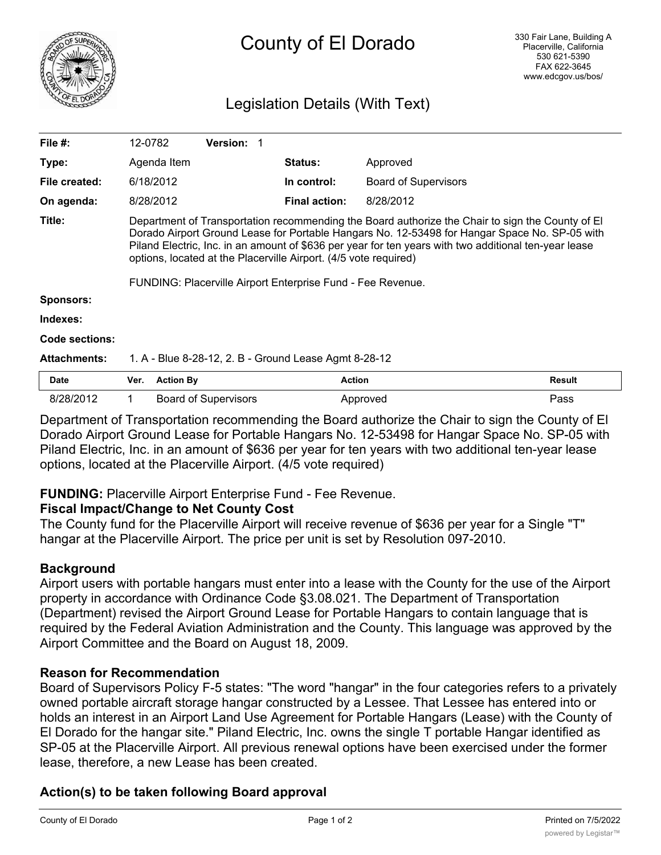

# Legislation Details (With Text)

| File $#$ :          | 12-0782                                                                                                                                                                                                                                                                                                                                                                                                                                       |                  | <b>Version: 1</b>           |  |                      |                             |        |
|---------------------|-----------------------------------------------------------------------------------------------------------------------------------------------------------------------------------------------------------------------------------------------------------------------------------------------------------------------------------------------------------------------------------------------------------------------------------------------|------------------|-----------------------------|--|----------------------|-----------------------------|--------|
| Type:               |                                                                                                                                                                                                                                                                                                                                                                                                                                               | Agenda Item      |                             |  | <b>Status:</b>       | Approved                    |        |
| File created:       |                                                                                                                                                                                                                                                                                                                                                                                                                                               | 6/18/2012        |                             |  | In control:          | <b>Board of Supervisors</b> |        |
| On agenda:          |                                                                                                                                                                                                                                                                                                                                                                                                                                               | 8/28/2012        |                             |  | <b>Final action:</b> | 8/28/2012                   |        |
| Title:              | Department of Transportation recommending the Board authorize the Chair to sign the County of El<br>Dorado Airport Ground Lease for Portable Hangars No. 12-53498 for Hangar Space No. SP-05 with<br>Piland Electric, Inc. in an amount of \$636 per year for ten years with two additional ten-year lease<br>options, located at the Placerville Airport. (4/5 vote required)<br>FUNDING: Placerville Airport Enterprise Fund - Fee Revenue. |                  |                             |  |                      |                             |        |
| <b>Sponsors:</b>    |                                                                                                                                                                                                                                                                                                                                                                                                                                               |                  |                             |  |                      |                             |        |
| Indexes:            |                                                                                                                                                                                                                                                                                                                                                                                                                                               |                  |                             |  |                      |                             |        |
| Code sections:      |                                                                                                                                                                                                                                                                                                                                                                                                                                               |                  |                             |  |                      |                             |        |
| <b>Attachments:</b> | 1. A - Blue 8-28-12, 2. B - Ground Lease Agmt 8-28-12                                                                                                                                                                                                                                                                                                                                                                                         |                  |                             |  |                      |                             |        |
| <b>Date</b>         | Ver.                                                                                                                                                                                                                                                                                                                                                                                                                                          | <b>Action By</b> |                             |  | <b>Action</b>        |                             | Result |
| 8/28/2012           |                                                                                                                                                                                                                                                                                                                                                                                                                                               |                  | <b>Board of Supervisors</b> |  |                      | Approved                    | Pass   |

Department of Transportation recommending the Board authorize the Chair to sign the County of El Dorado Airport Ground Lease for Portable Hangars No. 12-53498 for Hangar Space No. SP-05 with Piland Electric, Inc. in an amount of \$636 per year for ten years with two additional ten-year lease options, located at the Placerville Airport. (4/5 vote required)

### **FUNDING:** Placerville Airport Enterprise Fund - Fee Revenue.

#### **Fiscal Impact/Change to Net County Cost**

The County fund for the Placerville Airport will receive revenue of \$636 per year for a Single "T" hangar at the Placerville Airport. The price per unit is set by Resolution 097-2010.

### **Background**

Airport users with portable hangars must enter into a lease with the County for the use of the Airport property in accordance with Ordinance Code §3.08.021. The Department of Transportation (Department) revised the Airport Ground Lease for Portable Hangars to contain language that is required by the Federal Aviation Administration and the County. This language was approved by the Airport Committee and the Board on August 18, 2009.

### **Reason for Recommendation**

Board of Supervisors Policy F-5 states: "The word "hangar" in the four categories refers to a privately owned portable aircraft storage hangar constructed by a Lessee. That Lessee has entered into or holds an interest in an Airport Land Use Agreement for Portable Hangars (Lease) with the County of El Dorado for the hangar site." Piland Electric, Inc. owns the single T portable Hangar identified as SP-05 at the Placerville Airport. All previous renewal options have been exercised under the former lease, therefore, a new Lease has been created.

## **Action(s) to be taken following Board approval**